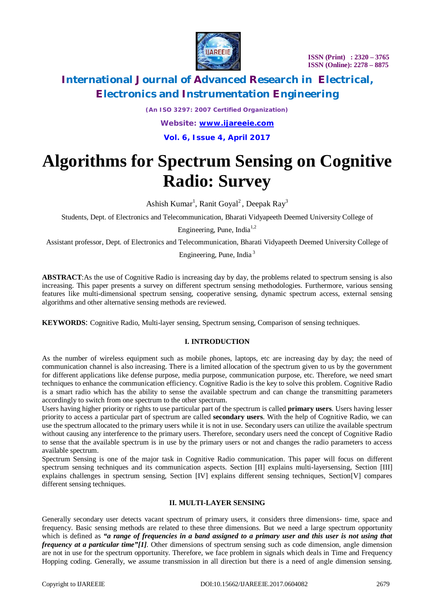

*(An ISO 3297: 2007 Certified Organization)*

*Website: [www.ijareeie.com](http://www.ijareeie.com)*

**Vol. 6, Issue 4, April 2017**

# **Algorithms for Spectrum Sensing on Cognitive Radio: Survey**

Ashish Kumar<sup>1</sup>, Ranit Goyal<sup>2</sup>, Deepak Ray<sup>3</sup>

Students, Dept. of Electronics and Telecommunication, Bharati Vidyapeeth Deemed University College of

Engineering, Pune, India $1,2$ 

Assistant professor, Dept. of Electronics and Telecommunication, Bharati Vidyapeeth Deemed University College of

Engineering, Pune, India <sup>3</sup>

**ABSTRACT**:As the use of Cognitive Radio is increasing day by day, the problems related to spectrum sensing is also increasing. This paper presents a survey on different spectrum sensing methodologies. Furthermore, various sensing features like multi-dimensional spectrum sensing, cooperative sensing, dynamic spectrum access, external sensing algorithms and other alternative sensing methods are reviewed.

**KEYWORDS**: Cognitive Radio, Multi-layer sensing, Spectrum sensing, Comparison of sensing techniques.

### **I. INTRODUCTION**

As the number of wireless equipment such as mobile phones, laptops, etc are increasing day by day; the need of communication channel is also increasing. There is a limited allocation of the spectrum given to us by the government for different applications like defense purpose, media purpose, communication purpose, etc. Therefore, we need smart techniques to enhance the communication efficiency. Cognitive Radio is the key to solve this problem. Cognitive Radio is a smart radio which has the ability to sense the available spectrum and can change the transmitting parameters accordingly to switch from one spectrum to the other spectrum.

Users having higher priority or rights to use particular part of the spectrum is called **primary users**. Users having lesser priority to access a particular part of spectrum are called **secondary users**. With the help of Cognitive Radio, we can use the spectrum allocated to the primary users while it is not in use. Secondary users can utilize the available spectrum without causing any interference to the primary users. Therefore, secondary users need the concept of Cognitive Radio to sense that the available spectrum is in use by the primary users or not and changes the radio parameters to access available spectrum.

Spectrum Sensing is one of the major task in Cognitive Radio communication. This paper will focus on different spectrum sensing techniques and its communication aspects. Section [II] explains multi-layersensing, Section [III] explains challenges in spectrum sensing, Section [IV] explains different sensing techniques, Section[V] compares different sensing techniques.

### **II. MULTI-LAYER SENSING**

Generally secondary user detects vacant spectrum of primary users, it considers three dimensions- time, space and frequency. Basic sensing methods are related to these three dimensions. But we need a large spectrum opportunity which is defined as *"a range of frequencies in a band assigned to a primary user and this user is not using that frequency at a particular time"[1]*. Other dimensions of spectrum sensing such as code dimension, angle dimension are not in use for the spectrum opportunity. Therefore, we face problem in signals which deals in Time and Frequency Hopping coding. Generally, we assume transmission in all direction but there is a need of angle dimension sensing.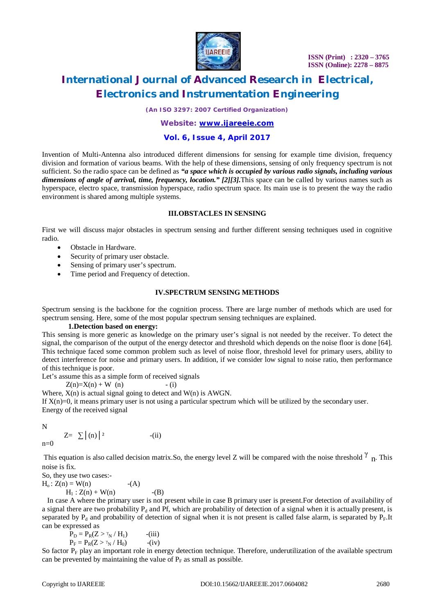

*(An ISO 3297: 2007 Certified Organization)*

### *Website: [www.ijareeie.com](http://www.ijareeie.com)*

### **Vol. 6, Issue 4, April 2017**

Invention of Multi-Antenna also introduced different dimensions for sensing for example time division, frequency division and formation of various beams. With the help of these dimensions, sensing of only frequency spectrum is not sufficient. So the radio space can be defined as *"a space which is occupied by various radio signals, including various dimensions of angle of arrival, time, frequency, location." [2][3].*This space can be called by various names such as hyperspace, electro space, transmission hyperspace, radio spectrum space. Its main use is to present the way the radio environment is shared among multiple systems.

### **III.OBSTACLES IN SENSING**

First we will discuss major obstacles in spectrum sensing and further different sensing techniques used in cognitive radio.

- Obstacle in Hardware.
- Security of primary user obstacle.
- Sensing of primary user's spectrum.
- Time period and Frequency of detection.

#### **IV.SPECTRUM SENSING METHODS**

Spectrum sensing is the backbone for the cognition process. There are large number of methods which are used for spectrum sensing. Here, some of the most popular spectrum sensing techniques are explained.

### **1.Detection based on energy:**

This sensing is more generic as knowledge on the primary user's signal is not needed by the receiver. To detect the signal, the comparison of the output of the energy detector and threshold which depends on the noise floor is done [64]. This technique faced some common problem such as level of noise floor, threshold level for primary users, ability to detect interference for noise and primary users. In addition, if we consider low signal to noise ratio, then performance of this technique is poor.

Let's assume this as a simple form of received signals

 $Z(n)=X(n) + W(n)$  - (i)

Where,  $X(n)$  is actual signal going to detect and  $W(n)$  is AWGN.

If  $X(n)=0$ , it means primary user is not using a particular spectrum which will be utilized by the secondary user. Energy of the received signal

N

 $n=0$ 

$$
Z = \sum |(n)|^2
$$
 - (ii)

This equation is also called decision matrix. So, the energy level Z will be compared with the noise threshold  $\gamma$  n. This noise is fix.

So, they use two cases:-  $H_0$ :  $Z(n) = W(n)$  (A)  $H_1 : Z(n) + W(n)$  -(B)

 In case A where the primary user is not present while in case B primary user is present.For detection of availability of a signal there are two probability  $P_d$  and Pf, which are probability of detection of a signal when it is actually present, is separated by  $P_d$  and probability of detection of signal when it is not present is called false alarm, is separated by  $P_F$ . It can be expressed as

 $P_D = P_R(Z > \gamma_N / H_1)$  -(iii)  $P_F = P_R(Z > \gamma_N / H_0)$  -(iv)

So factor  $P_F$  play an important role in energy detection technique. Therefore, underutilization of the available spectrum can be prevented by maintaining the value of  $P_F$  as small as possible.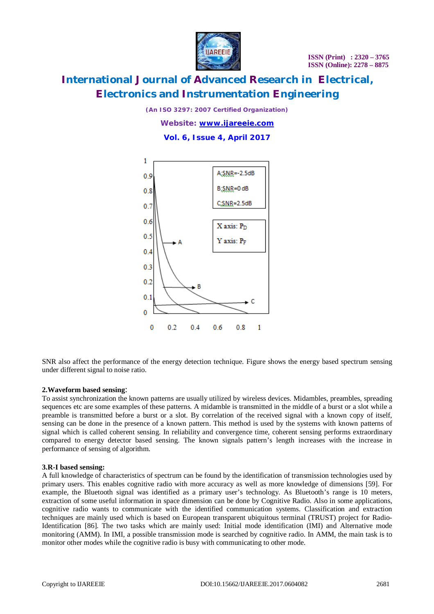

*(An ISO 3297: 2007 Certified Organization)*

*Website: [www.ijareeie.com](http://www.ijareeie.com)*

**Vol. 6, Issue 4, April 2017**



SNR also affect the performance of the energy detection technique. Figure shows the energy based spectrum sensing under different signal to noise ratio.

### **2.Waveform based sensing**:

To assist synchronization the known patterns are usually utilized by wireless devices. Midambles, preambles, spreading sequences etc are some examples of these patterns. A midamble is transmitted in the middle of a burst or a slot while a preamble is transmitted before a burst or a slot. By correlation of the received signal with a known copy of itself, sensing can be done in the presence of a known pattern. This method is used by the systems with known patterns of signal which is called coherent sensing. In reliability and convergence time, coherent sensing performs extraordinary compared to energy detector based sensing. The known signals pattern's length increases with the increase in performance of sensing of algorithm.

### **3.R-I based sensing:**

A full knowledge of characteristics of spectrum can be found by the identification of transmission technologies used by primary users. This enables cognitive radio with more accuracy as well as more knowledge of dimensions [59]. For example, the Bluetooth signal was identified as a primary user's technology. As Bluetooth's range is 10 meters, extraction of some useful information in space dimension can be done by Cognitive Radio. Also in some applications, cognitive radio wants to communicate with the identified communication systems. Classification and extraction techniques are mainly used which is based on European transparent ubiquitous terminal (TRUST) project for Radio-Identification [86]. The two tasks which are mainly used: Initial mode identification (IMI) and Alternative mode monitoring (AMM). In IMI, a possible transmission mode is searched by cognitive radio. In AMM, the main task is to monitor other modes while the cognitive radio is busy with communicating to other mode.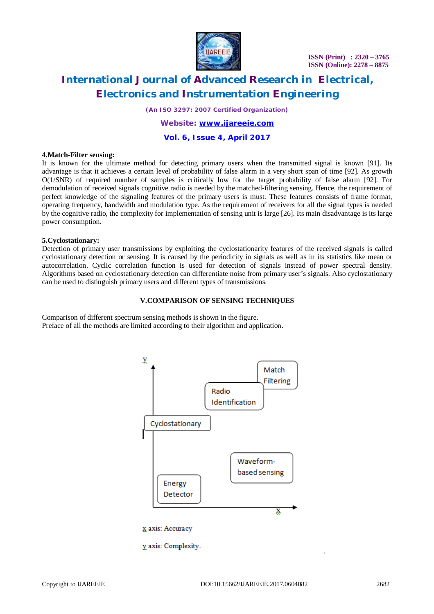

**ISSN (Print) : 2320 – 3765 ISSN (Online): 2278 – 8875**

# **International Journal of Advanced Research in Electrical, Electronics and Instrumentation Engineering**

*(An ISO 3297: 2007 Certified Organization)*

### *Website: [www.ijareeie.com](http://www.ijareeie.com)*

### **Vol. 6, Issue 4, April 2017**

#### **4.Match-Filter sensing:**

It is known for the ultimate method for detecting primary users when the transmitted signal is known [91]. Its advantage is that it achieves a certain level of probability of false alarm in a very short span of time [92]. As growth O(1/SNR) of required number of samples is critically low for the target probability of false alarm [92]. For demodulation of received signals cognitive radio is needed by the matched-filtering sensing. Hence, the requirement of perfect knowledge of the signaling features of the primary users is must. These features consists of frame format, operating frequency, bandwidth and modulation type. As the requirement of receivers for all the signal types is needed by the cognitive radio, the complexity for implementation of sensing unit is large [26]. Its main disadvantage is its large power consumption.

#### **5.Cyclostationary:**

Detection of primary user transmissions by exploiting the cyclostationarity features of the received signals is called cyclostationary detection or sensing. It is caused by the periodicity in signals as well as in its statistics like mean or autocorrelation. Cyclic correlation function is used for detection of signals instead of power spectral density. Algorithms based on cyclostationary detection can differentiate noise from primary user's signals. Also cyclostationary can be used to distinguish primary users and different types of transmissions.

#### **V.COMPARISON OF SENSING TECHNIQUES**

Comparison of different spectrum sensing methods is shown in the figure. Preface of all the methods are limited according to their algorithm and application.



y axis: Complexity.

.